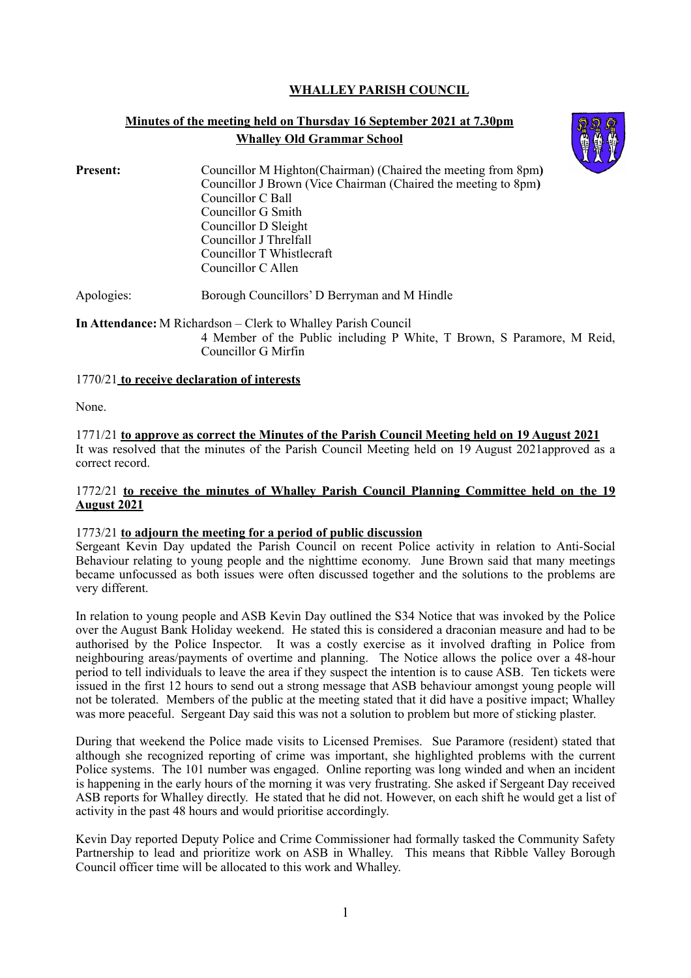# **WHALLEY PARISH COUNCIL**

# **Minutes of the meeting held on Thursday 16 September 2021 at 7.30pm Whalley Old Grammar School**



**Present:** Councillor M Highton(Chairman) (Chaired the meeting from 8pm) Councillor J Brown (Vice Chairman (Chaired the meeting to 8pm**)** Councillor C Ball Councillor G Smith Councillor D Sleight Councillor J Threlfall Councillor T Whistlecraft Councillor C Allen

Apologies: Borough Councillors' D Berryman and M Hindle

**In Attendance:** M Richardson – Clerk to Whalley Parish Council

4 Member of the Public including P White, T Brown, S Paramore, M Reid, Councillor G Mirfin

# 1770/21 **to receive declaration of interests**

None.

1771/21 **to approve as correct the Minutes of the Parish Council Meeting held on 19 August 2021**  It was resolved that the minutes of the Parish Council Meeting held on 19 August 2021approved as a correct record.

#### 1772/21 **to receive the minutes of Whalley Parish Council Planning Committee held on the 19 August 2021**

# 1773/21 **to adjourn the meeting for a period of public discussion**

Sergeant Kevin Day updated the Parish Council on recent Police activity in relation to Anti-Social Behaviour relating to young people and the nighttime economy. June Brown said that many meetings became unfocussed as both issues were often discussed together and the solutions to the problems are very different.

In relation to young people and ASB Kevin Day outlined the S34 Notice that was invoked by the Police over the August Bank Holiday weekend. He stated this is considered a draconian measure and had to be authorised by the Police Inspector. It was a costly exercise as it involved drafting in Police from neighbouring areas/payments of overtime and planning. The Notice allows the police over a 48-hour period to tell individuals to leave the area if they suspect the intention is to cause ASB. Ten tickets were issued in the first 12 hours to send out a strong message that ASB behaviour amongst young people will not be tolerated. Members of the public at the meeting stated that it did have a positive impact; Whalley was more peaceful. Sergeant Day said this was not a solution to problem but more of sticking plaster.

During that weekend the Police made visits to Licensed Premises. Sue Paramore (resident) stated that although she recognized reporting of crime was important, she highlighted problems with the current Police systems. The 101 number was engaged. Online reporting was long winded and when an incident is happening in the early hours of the morning it was very frustrating. She asked if Sergeant Day received ASB reports for Whalley directly. He stated that he did not. However, on each shift he would get a list of activity in the past 48 hours and would prioritise accordingly.

Kevin Day reported Deputy Police and Crime Commissioner had formally tasked the Community Safety Partnership to lead and prioritize work on ASB in Whalley. This means that Ribble Valley Borough Council officer time will be allocated to this work and Whalley.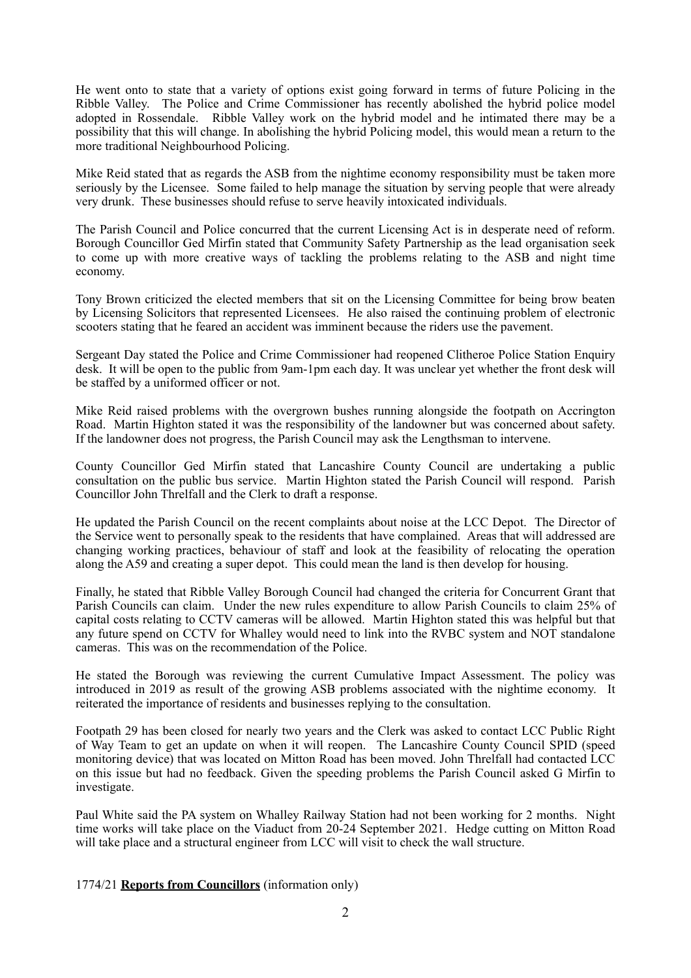He went onto to state that a variety of options exist going forward in terms of future Policing in the Ribble Valley. The Police and Crime Commissioner has recently abolished the hybrid police model adopted in Rossendale. Ribble Valley work on the hybrid model and he intimated there may be a possibility that this will change. In abolishing the hybrid Policing model, this would mean a return to the more traditional Neighbourhood Policing.

Mike Reid stated that as regards the ASB from the nightime economy responsibility must be taken more seriously by the Licensee. Some failed to help manage the situation by serving people that were already very drunk. These businesses should refuse to serve heavily intoxicated individuals.

The Parish Council and Police concurred that the current Licensing Act is in desperate need of reform. Borough Councillor Ged Mirfin stated that Community Safety Partnership as the lead organisation seek to come up with more creative ways of tackling the problems relating to the ASB and night time economy.

Tony Brown criticized the elected members that sit on the Licensing Committee for being brow beaten by Licensing Solicitors that represented Licensees. He also raised the continuing problem of electronic scooters stating that he feared an accident was imminent because the riders use the pavement.

Sergeant Day stated the Police and Crime Commissioner had reopened Clitheroe Police Station Enquiry desk. It will be open to the public from 9am-1pm each day. It was unclear yet whether the front desk will be staffed by a uniformed officer or not.

Mike Reid raised problems with the overgrown bushes running alongside the footpath on Accrington Road. Martin Highton stated it was the responsibility of the landowner but was concerned about safety. If the landowner does not progress, the Parish Council may ask the Lengthsman to intervene.

County Councillor Ged Mirfin stated that Lancashire County Council are undertaking a public consultation on the public bus service. Martin Highton stated the Parish Council will respond. Parish Councillor John Threlfall and the Clerk to draft a response.

He updated the Parish Council on the recent complaints about noise at the LCC Depot. The Director of the Service went to personally speak to the residents that have complained. Areas that will addressed are changing working practices, behaviour of staff and look at the feasibility of relocating the operation along the A59 and creating a super depot. This could mean the land is then develop for housing.

Finally, he stated that Ribble Valley Borough Council had changed the criteria for Concurrent Grant that Parish Councils can claim. Under the new rules expenditure to allow Parish Councils to claim 25% of capital costs relating to CCTV cameras will be allowed. Martin Highton stated this was helpful but that any future spend on CCTV for Whalley would need to link into the RVBC system and NOT standalone cameras. This was on the recommendation of the Police.

He stated the Borough was reviewing the current Cumulative Impact Assessment. The policy was introduced in 2019 as result of the growing ASB problems associated with the nightime economy. It reiterated the importance of residents and businesses replying to the consultation.

Footpath 29 has been closed for nearly two years and the Clerk was asked to contact LCC Public Right of Way Team to get an update on when it will reopen. The Lancashire County Council SPID (speed monitoring device) that was located on Mitton Road has been moved. John Threlfall had contacted LCC on this issue but had no feedback. Given the speeding problems the Parish Council asked G Mirfin to investigate.

Paul White said the PA system on Whalley Railway Station had not been working for 2 months. Night time works will take place on the Viaduct from 20-24 September 2021. Hedge cutting on Mitton Road will take place and a structural engineer from LCC will visit to check the wall structure.

1774/21 **Reports from Councillors** (information only)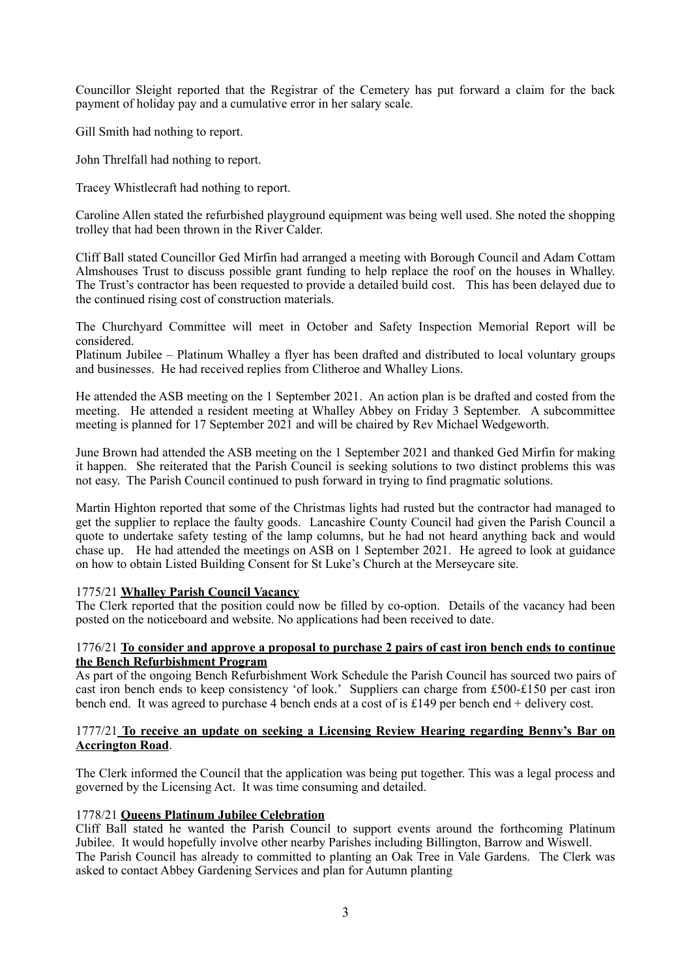Councillor Sleight reported that the Registrar of the Cemetery has put forward a claim for the back payment of holiday pay and a cumulative error in her salary scale.

Gill Smith had nothing to report.

John Threlfall had nothing to report.

Tracey Whistlecraft had nothing to report.

Caroline Allen stated the refurbished playground equipment was being well used. She noted the shopping trolley that had been thrown in the River Calder.

Cliff Ball stated Councillor Ged Mirfin had arranged a meeting with Borough Council and Adam Cottam Almshouses Trust to discuss possible grant funding to help replace the roof on the houses in Whalley. The Trust's contractor has been requested to provide a detailed build cost. This has been delayed due to the continued rising cost of construction materials.

The Churchyard Committee will meet in October and Safety Inspection Memorial Report will be considered.

Platinum Jubilee – Platinum Whalley a flyer has been drafted and distributed to local voluntary groups and businesses. He had received replies from Clitheroe and Whalley Lions.

He attended the ASB meeting on the 1 September 2021. An action plan is be drafted and costed from the meeting. He attended a resident meeting at Whalley Abbey on Friday 3 September. A subcommittee meeting is planned for 17 September 2021 and will be chaired by Rev Michael Wedgeworth.

June Brown had attended the ASB meeting on the 1 September 2021 and thanked Ged Mirfin for making it happen. She reiterated that the Parish Council is seeking solutions to two distinct problems this was not easy. The Parish Council continued to push forward in trying to find pragmatic solutions.

Martin Highton reported that some of the Christmas lights had rusted but the contractor had managed to get the supplier to replace the faulty goods. Lancashire County Council had given the Parish Council a quote to undertake safety testing of the lamp columns, but he had not heard anything back and would chase up. He had attended the meetings on ASB on 1 September 2021. He agreed to look at guidance on how to obtain Listed Building Consent for St Luke's Church at the Merseycare site.

# 1775/21 **Whalley Parish Council Vacancy**

The Clerk reported that the position could now be filled by co-option. Details of the vacancy had been posted on the noticeboard and website. No applications had been received to date.

# 1776/21 **To consider and approve a proposal to purchase 2 pairs of cast iron bench ends to continue the Bench Refurbishment Program**

As part of the ongoing Bench Refurbishment Work Schedule the Parish Council has sourced two pairs of cast iron bench ends to keep consistency 'of look.' Suppliers can charge from £500-£150 per cast iron bench end. It was agreed to purchase 4 bench ends at a cost of is £149 per bench end + delivery cost.

#### 1777/21 **To receive an update on seeking a Licensing Review Hearing regarding Benny's Bar on Accrington Road**.

The Clerk informed the Council that the application was being put together. This was a legal process and governed by the Licensing Act. It was time consuming and detailed.

# 1778/21 **Queens Platinum Jubilee Celebration**

Cliff Ball stated he wanted the Parish Council to support events around the forthcoming Platinum Jubilee. It would hopefully involve other nearby Parishes including Billington, Barrow and Wiswell. The Parish Council has already to committed to planting an Oak Tree in Vale Gardens. The Clerk was asked to contact Abbey Gardening Services and plan for Autumn planting